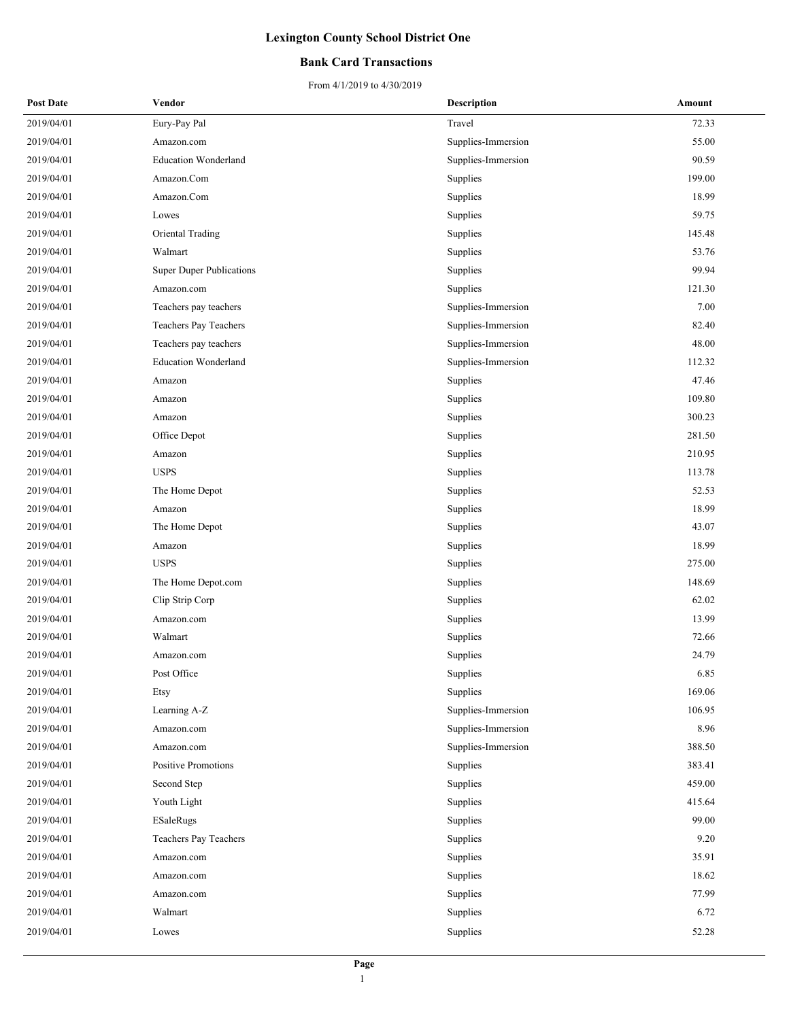### **Bank Card Transactions**

| <b>Post Date</b> | Vendor                          | Description        | Amount |
|------------------|---------------------------------|--------------------|--------|
| 2019/04/01       | Eury-Pay Pal                    | Travel             | 72.33  |
| 2019/04/01       | Amazon.com                      | Supplies-Immersion | 55.00  |
| 2019/04/01       | <b>Education Wonderland</b>     | Supplies-Immersion | 90.59  |
| 2019/04/01       | Amazon.Com                      | Supplies           | 199.00 |
| 2019/04/01       | Amazon.Com                      | Supplies           | 18.99  |
| 2019/04/01       | Lowes                           | Supplies           | 59.75  |
| 2019/04/01       | Oriental Trading                | Supplies           | 145.48 |
| 2019/04/01       | Walmart                         | Supplies           | 53.76  |
| 2019/04/01       | <b>Super Duper Publications</b> | Supplies           | 99.94  |
| 2019/04/01       | Amazon.com                      | Supplies           | 121.30 |
| 2019/04/01       | Teachers pay teachers           | Supplies-Immersion | 7.00   |
| 2019/04/01       | Teachers Pay Teachers           | Supplies-Immersion | 82.40  |
| 2019/04/01       | Teachers pay teachers           | Supplies-Immersion | 48.00  |
| 2019/04/01       | <b>Education Wonderland</b>     | Supplies-Immersion | 112.32 |
| 2019/04/01       | Amazon                          | Supplies           | 47.46  |
| 2019/04/01       | Amazon                          | Supplies           | 109.80 |
| 2019/04/01       | Amazon                          | Supplies           | 300.23 |
| 2019/04/01       | Office Depot                    | Supplies           | 281.50 |
| 2019/04/01       | Amazon                          | Supplies           | 210.95 |
| 2019/04/01       | <b>USPS</b>                     | Supplies           | 113.78 |
| 2019/04/01       | The Home Depot                  | Supplies           | 52.53  |
| 2019/04/01       | Amazon                          | Supplies           | 18.99  |
| 2019/04/01       | The Home Depot                  | Supplies           | 43.07  |
| 2019/04/01       | Amazon                          | Supplies           | 18.99  |
| 2019/04/01       | <b>USPS</b>                     | Supplies           | 275.00 |
| 2019/04/01       | The Home Depot.com              | Supplies           | 148.69 |
| 2019/04/01       | Clip Strip Corp                 | Supplies           | 62.02  |
| 2019/04/01       | Amazon.com                      | Supplies           | 13.99  |
| 2019/04/01       | Walmart                         | Supplies           | 72.66  |
| 2019/04/01       | Amazon.com                      | Supplies           | 24.79  |
| 2019/04/01       | Post Office                     | Supplies           | 6.85   |
| 2019/04/01       | Etsy                            | Supplies           | 169.06 |
| 2019/04/01       | Learning A-Z                    | Supplies-Immersion | 106.95 |
| 2019/04/01       | Amazon.com                      | Supplies-Immersion | 8.96   |
| 2019/04/01       | Amazon.com                      | Supplies-Immersion | 388.50 |
| 2019/04/01       | <b>Positive Promotions</b>      | Supplies           | 383.41 |
| 2019/04/01       | Second Step                     | Supplies           | 459.00 |
| 2019/04/01       | Youth Light                     | Supplies           | 415.64 |
| 2019/04/01       | ESaleRugs                       | Supplies           | 99.00  |
| 2019/04/01       | Teachers Pay Teachers           | Supplies           | 9.20   |
| 2019/04/01       | Amazon.com                      | Supplies           | 35.91  |
| 2019/04/01       | Amazon.com                      | Supplies           | 18.62  |
| 2019/04/01       | Amazon.com                      | Supplies           | 77.99  |
| 2019/04/01       | Walmart                         | Supplies           | 6.72   |
| 2019/04/01       | Lowes                           | Supplies           | 52.28  |
|                  |                                 |                    |        |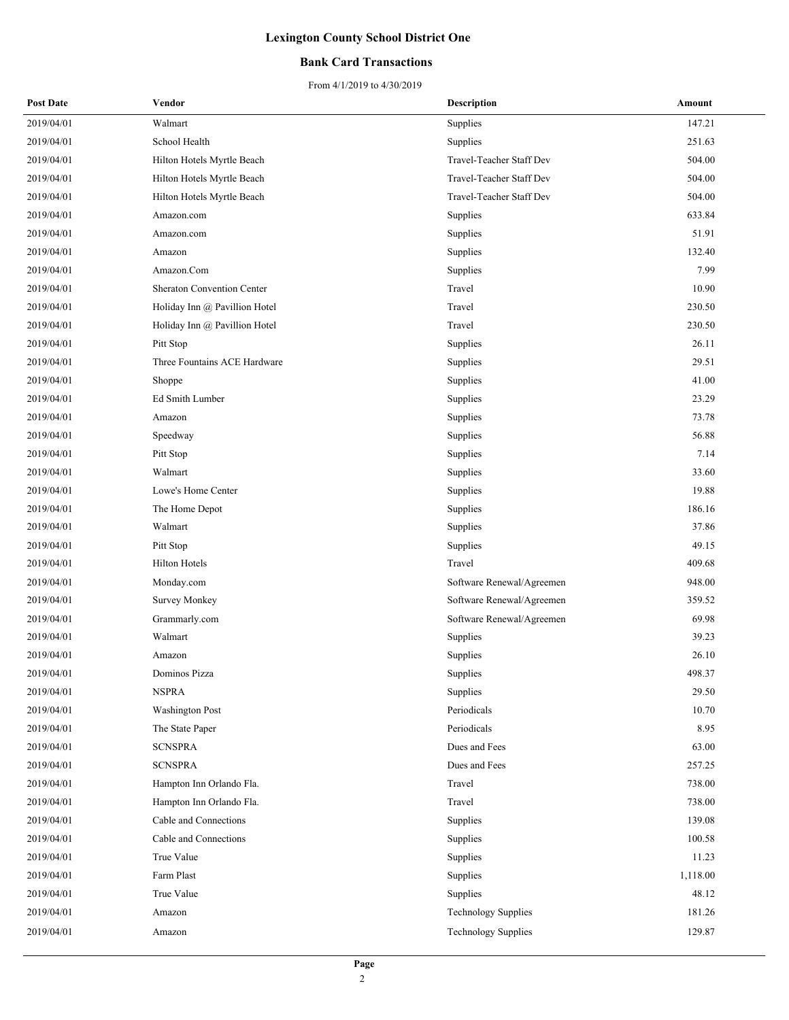### **Bank Card Transactions**

| <b>Post Date</b> | Vendor                            | <b>Description</b>         | Amount   |
|------------------|-----------------------------------|----------------------------|----------|
| 2019/04/01       | Walmart                           | Supplies                   | 147.21   |
| 2019/04/01       | School Health                     | Supplies                   | 251.63   |
| 2019/04/01       | Hilton Hotels Myrtle Beach        | Travel-Teacher Staff Dev   | 504.00   |
| 2019/04/01       | Hilton Hotels Myrtle Beach        | Travel-Teacher Staff Dev   | 504.00   |
| 2019/04/01       | Hilton Hotels Myrtle Beach        | Travel-Teacher Staff Dev   | 504.00   |
| 2019/04/01       | Amazon.com                        | Supplies                   | 633.84   |
| 2019/04/01       | Amazon.com                        | Supplies                   | 51.91    |
| 2019/04/01       | Amazon                            | Supplies                   | 132.40   |
| 2019/04/01       | Amazon.Com                        | Supplies                   | 7.99     |
| 2019/04/01       | <b>Sheraton Convention Center</b> | Travel                     | 10.90    |
| 2019/04/01       | Holiday Inn @ Pavillion Hotel     | Travel                     | 230.50   |
| 2019/04/01       | Holiday Inn @ Pavillion Hotel     | Travel                     | 230.50   |
| 2019/04/01       | Pitt Stop                         | Supplies                   | 26.11    |
| 2019/04/01       | Three Fountains ACE Hardware      | Supplies                   | 29.51    |
| 2019/04/01       | Shoppe                            | Supplies                   | 41.00    |
| 2019/04/01       | Ed Smith Lumber                   | Supplies                   | 23.29    |
| 2019/04/01       | Amazon                            | Supplies                   | 73.78    |
| 2019/04/01       | Speedway                          | Supplies                   | 56.88    |
| 2019/04/01       | Pitt Stop                         | Supplies                   | 7.14     |
| 2019/04/01       | Walmart                           | Supplies                   | 33.60    |
| 2019/04/01       | Lowe's Home Center                | Supplies                   | 19.88    |
| 2019/04/01       | The Home Depot                    | Supplies                   | 186.16   |
| 2019/04/01       | Walmart                           | Supplies                   | 37.86    |
| 2019/04/01       | Pitt Stop                         | Supplies                   | 49.15    |
| 2019/04/01       | Hilton Hotels                     | Travel                     | 409.68   |
| 2019/04/01       | Monday.com                        | Software Renewal/Agreemen  | 948.00   |
| 2019/04/01       | <b>Survey Monkey</b>              | Software Renewal/Agreemen  | 359.52   |
| 2019/04/01       | Grammarly.com                     | Software Renewal/Agreemen  | 69.98    |
| 2019/04/01       | Walmart                           | Supplies                   | 39.23    |
| 2019/04/01       | Amazon                            | Supplies                   | 26.10    |
| 2019/04/01       | Dominos Pizza                     | Supplies                   | 498.37   |
| 2019/04/01       | <b>NSPRA</b>                      | Supplies                   | 29.50    |
| 2019/04/01       | <b>Washington Post</b>            | Periodicals                | 10.70    |
| 2019/04/01       | The State Paper                   | Periodicals                | 8.95     |
| 2019/04/01       | <b>SCNSPRA</b>                    | Dues and Fees              | 63.00    |
| 2019/04/01       | <b>SCNSPRA</b>                    | Dues and Fees              | 257.25   |
| 2019/04/01       | Hampton Inn Orlando Fla.          | Travel                     | 738.00   |
| 2019/04/01       | Hampton Inn Orlando Fla.          | Travel                     | 738.00   |
| 2019/04/01       | Cable and Connections             | Supplies                   | 139.08   |
| 2019/04/01       | Cable and Connections             | Supplies                   | 100.58   |
| 2019/04/01       | True Value                        | Supplies                   | 11.23    |
| 2019/04/01       | Farm Plast                        | Supplies                   | 1,118.00 |
| 2019/04/01       | True Value                        | Supplies                   | 48.12    |
| 2019/04/01       | Amazon                            | <b>Technology Supplies</b> | 181.26   |
| 2019/04/01       | Amazon                            | <b>Technology Supplies</b> | 129.87   |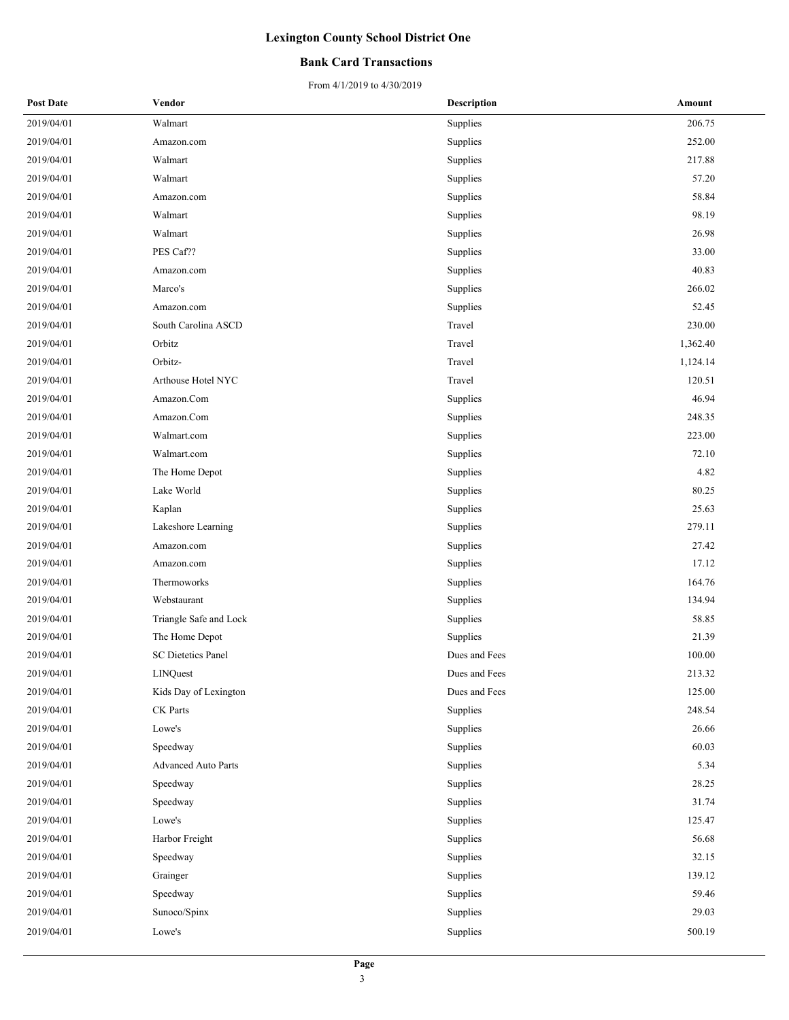### **Bank Card Transactions**

| <b>Post Date</b> | Vendor                     | <b>Description</b> | Amount   |
|------------------|----------------------------|--------------------|----------|
| 2019/04/01       | Walmart                    | Supplies           | 206.75   |
| 2019/04/01       | Amazon.com                 | Supplies           | 252.00   |
| 2019/04/01       | Walmart                    | Supplies           | 217.88   |
| 2019/04/01       | Walmart                    | Supplies           | 57.20    |
| 2019/04/01       | Amazon.com                 | Supplies           | 58.84    |
| 2019/04/01       | Walmart                    | Supplies           | 98.19    |
| 2019/04/01       | Walmart                    | Supplies           | 26.98    |
| 2019/04/01       | PES Caf??                  | Supplies           | 33.00    |
| 2019/04/01       | Amazon.com                 | Supplies           | 40.83    |
| 2019/04/01       | Marco's                    | Supplies           | 266.02   |
| 2019/04/01       | Amazon.com                 | Supplies           | 52.45    |
| 2019/04/01       | South Carolina ASCD        | Travel             | 230.00   |
| 2019/04/01       | Orbitz                     | Travel             | 1,362.40 |
| 2019/04/01       | Orbitz-                    | Travel             | 1,124.14 |
| 2019/04/01       | Arthouse Hotel NYC         | Travel             | 120.51   |
| 2019/04/01       | Amazon.Com                 | Supplies           | 46.94    |
| 2019/04/01       | Amazon.Com                 | Supplies           | 248.35   |
| 2019/04/01       | Walmart.com                | Supplies           | 223.00   |
| 2019/04/01       | Walmart.com                | Supplies           | 72.10    |
| 2019/04/01       | The Home Depot             | Supplies           | 4.82     |
| 2019/04/01       | Lake World                 | Supplies           | 80.25    |
| 2019/04/01       | Kaplan                     | Supplies           | 25.63    |
| 2019/04/01       | Lakeshore Learning         | Supplies           | 279.11   |
| 2019/04/01       | Amazon.com                 | Supplies           | 27.42    |
| 2019/04/01       | Amazon.com                 | Supplies           | 17.12    |
| 2019/04/01       | Thermoworks                | Supplies           | 164.76   |
| 2019/04/01       | Webstaurant                | Supplies           | 134.94   |
| 2019/04/01       | Triangle Safe and Lock     | Supplies           | 58.85    |
| 2019/04/01       | The Home Depot             | Supplies           | 21.39    |
| 2019/04/01       | <b>SC Dietetics Panel</b>  | Dues and Fees      | 100.00   |
| 2019/04/01       | LINQuest                   | Dues and Fees      | 213.32   |
| 2019/04/01       | Kids Day of Lexington      | Dues and Fees      | 125.00   |
| 2019/04/01       | CK Parts                   | Supplies           | 248.54   |
| 2019/04/01       | Lowe's                     | Supplies           | 26.66    |
| 2019/04/01       | Speedway                   | Supplies           | 60.03    |
| 2019/04/01       | <b>Advanced Auto Parts</b> | Supplies           | 5.34     |
| 2019/04/01       | Speedway                   | Supplies           | 28.25    |
| 2019/04/01       | Speedway                   | Supplies           | 31.74    |
| 2019/04/01       | Lowe's                     | Supplies           | 125.47   |
| 2019/04/01       | Harbor Freight             | Supplies           | 56.68    |
| 2019/04/01       | Speedway                   | Supplies           | 32.15    |
| 2019/04/01       | Grainger                   | Supplies           | 139.12   |
| 2019/04/01       | Speedway                   | Supplies           | 59.46    |
| 2019/04/01       | Sunoco/Spinx               | Supplies           | 29.03    |
| 2019/04/01       | Lowe's                     | Supplies           | 500.19   |
|                  |                            |                    |          |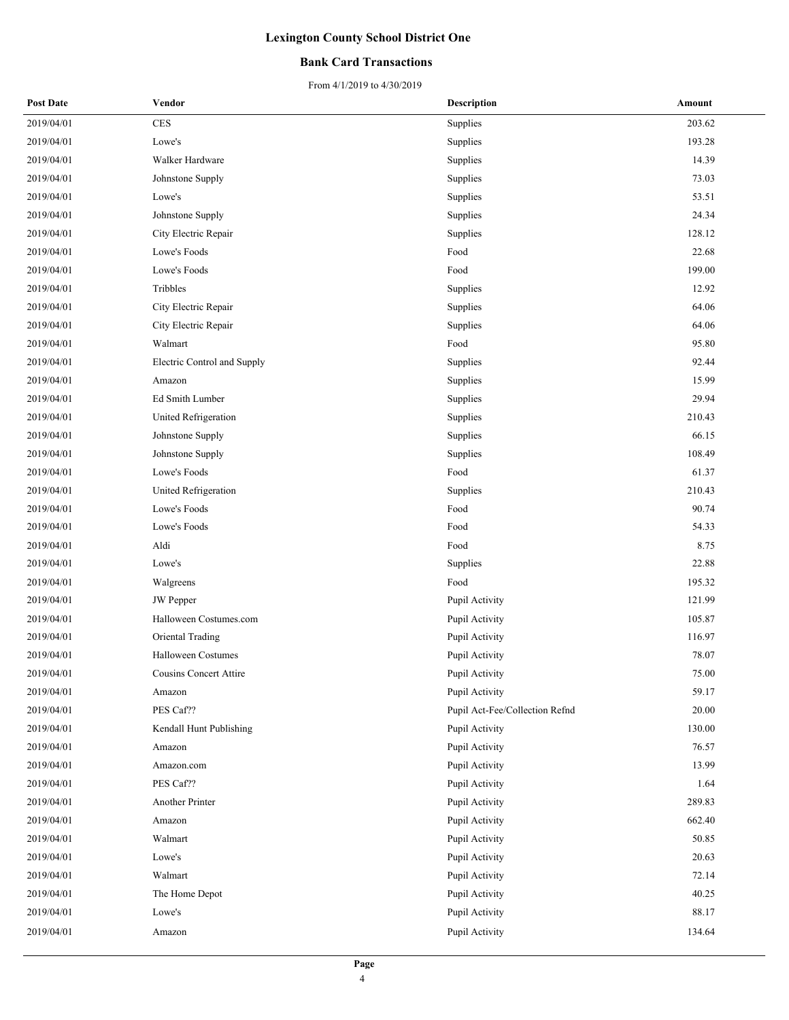### **Bank Card Transactions**

| <b>Post Date</b> | Vendor                      | <b>Description</b>             | Amount |
|------------------|-----------------------------|--------------------------------|--------|
| 2019/04/01       | $\mbox{CES}$                | Supplies                       | 203.62 |
| 2019/04/01       | Lowe's                      | Supplies                       | 193.28 |
| 2019/04/01       | Walker Hardware             | Supplies                       | 14.39  |
| 2019/04/01       | Johnstone Supply            | Supplies                       | 73.03  |
| 2019/04/01       | Lowe's                      | Supplies                       | 53.51  |
| 2019/04/01       | Johnstone Supply            | Supplies                       | 24.34  |
| 2019/04/01       | City Electric Repair        | Supplies                       | 128.12 |
| 2019/04/01       | Lowe's Foods                | Food                           | 22.68  |
| 2019/04/01       | Lowe's Foods                | Food                           | 199.00 |
| 2019/04/01       | Tribbles                    | Supplies                       | 12.92  |
| 2019/04/01       | City Electric Repair        | Supplies                       | 64.06  |
| 2019/04/01       | City Electric Repair        | Supplies                       | 64.06  |
| 2019/04/01       | Walmart                     | Food                           | 95.80  |
| 2019/04/01       | Electric Control and Supply | Supplies                       | 92.44  |
| 2019/04/01       | Amazon                      | Supplies                       | 15.99  |
| 2019/04/01       | Ed Smith Lumber             | Supplies                       | 29.94  |
| 2019/04/01       | United Refrigeration        | Supplies                       | 210.43 |
| 2019/04/01       | Johnstone Supply            | Supplies                       | 66.15  |
| 2019/04/01       | Johnstone Supply            | Supplies                       | 108.49 |
| 2019/04/01       | Lowe's Foods                | Food                           | 61.37  |
| 2019/04/01       | United Refrigeration        | Supplies                       | 210.43 |
| 2019/04/01       | Lowe's Foods                | Food                           | 90.74  |
| 2019/04/01       | Lowe's Foods                | Food                           | 54.33  |
| 2019/04/01       | Aldi                        | Food                           | 8.75   |
| 2019/04/01       | Lowe's                      | Supplies                       | 22.88  |
| 2019/04/01       | Walgreens                   | Food                           | 195.32 |
| 2019/04/01       | <b>JW</b> Pepper            | Pupil Activity                 | 121.99 |
| 2019/04/01       | Halloween Costumes.com      | Pupil Activity                 | 105.87 |
| 2019/04/01       | Oriental Trading            | Pupil Activity                 | 116.97 |
| 2019/04/01       | <b>Halloween Costumes</b>   | Pupil Activity                 | 78.07  |
| 2019/04/01       | Cousins Concert Attire      | Pupil Activity                 | 75.00  |
| 2019/04/01       | Amazon                      | Pupil Activity                 | 59.17  |
| 2019/04/01       | PES Caf??                   | Pupil Act-Fee/Collection Refnd | 20.00  |
| 2019/04/01       | Kendall Hunt Publishing     | Pupil Activity                 | 130.00 |
| 2019/04/01       | Amazon                      | Pupil Activity                 | 76.57  |
| 2019/04/01       | Amazon.com                  | Pupil Activity                 | 13.99  |
| 2019/04/01       | PES Caf??                   | Pupil Activity                 | 1.64   |
| 2019/04/01       | Another Printer             | Pupil Activity                 | 289.83 |
| 2019/04/01       | Amazon                      | Pupil Activity                 | 662.40 |
| 2019/04/01       | Walmart                     | Pupil Activity                 | 50.85  |
| 2019/04/01       | Lowe's                      | Pupil Activity                 | 20.63  |
| 2019/04/01       | Walmart                     | Pupil Activity                 | 72.14  |
| 2019/04/01       | The Home Depot              | Pupil Activity                 | 40.25  |
| 2019/04/01       | Lowe's                      | Pupil Activity                 | 88.17  |
| 2019/04/01       | Amazon                      | Pupil Activity                 | 134.64 |
|                  |                             |                                |        |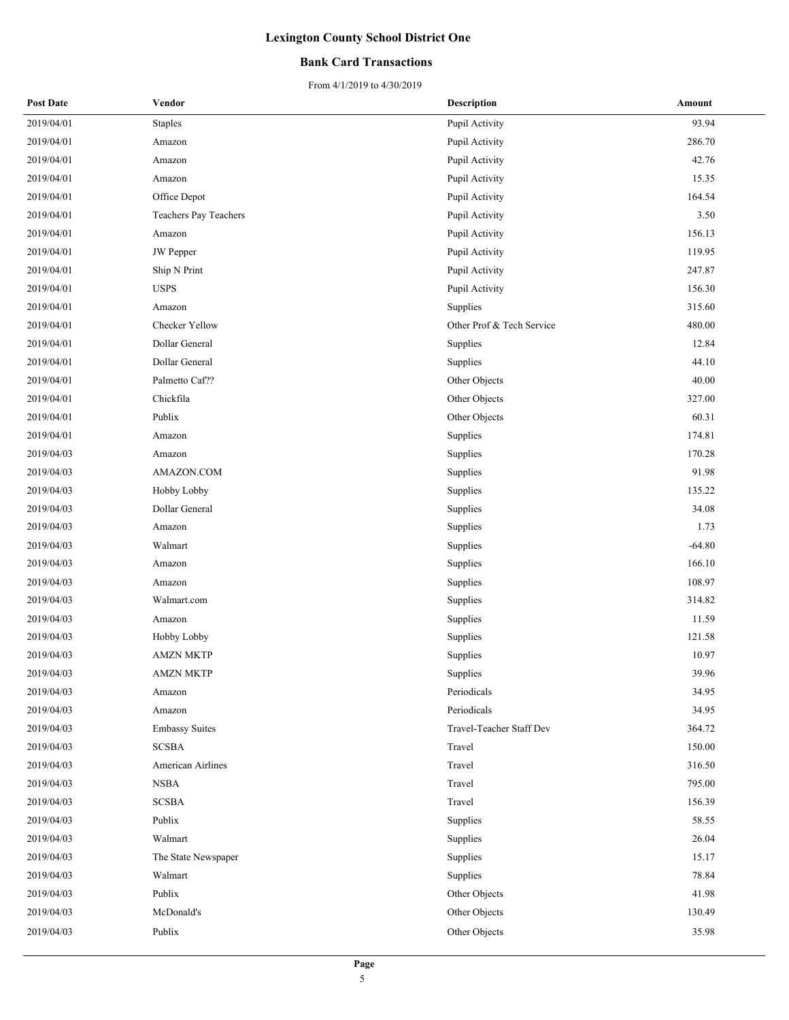### **Bank Card Transactions**

| <b>Post Date</b> | Vendor                | <b>Description</b>        | Amount   |
|------------------|-----------------------|---------------------------|----------|
| 2019/04/01       | <b>Staples</b>        | Pupil Activity            | 93.94    |
| 2019/04/01       | Amazon                | Pupil Activity            | 286.70   |
| 2019/04/01       | Amazon                | Pupil Activity            | 42.76    |
| 2019/04/01       | Amazon                | Pupil Activity            | 15.35    |
| 2019/04/01       | Office Depot          | Pupil Activity            | 164.54   |
| 2019/04/01       | Teachers Pay Teachers | Pupil Activity            | 3.50     |
| 2019/04/01       | Amazon                | Pupil Activity            | 156.13   |
| 2019/04/01       | <b>JW</b> Pepper      | Pupil Activity            | 119.95   |
| 2019/04/01       | Ship N Print          | Pupil Activity            | 247.87   |
| 2019/04/01       | <b>USPS</b>           | Pupil Activity            | 156.30   |
| 2019/04/01       | Amazon                | Supplies                  | 315.60   |
| 2019/04/01       | Checker Yellow        | Other Prof & Tech Service | 480.00   |
| 2019/04/01       | Dollar General        | Supplies                  | 12.84    |
| 2019/04/01       | Dollar General        | Supplies                  | 44.10    |
| 2019/04/01       | Palmetto Caf??        | Other Objects             | 40.00    |
| 2019/04/01       | Chickfila             | Other Objects             | 327.00   |
| 2019/04/01       | Publix                | Other Objects             | 60.31    |
| 2019/04/01       | Amazon                | Supplies                  | 174.81   |
| 2019/04/03       | Amazon                | Supplies                  | 170.28   |
| 2019/04/03       | AMAZON.COM            | Supplies                  | 91.98    |
| 2019/04/03       | Hobby Lobby           | Supplies                  | 135.22   |
| 2019/04/03       | Dollar General        | Supplies                  | 34.08    |
| 2019/04/03       | Amazon                | Supplies                  | 1.73     |
| 2019/04/03       | Walmart               | Supplies                  | $-64.80$ |
| 2019/04/03       | Amazon                | Supplies                  | 166.10   |
| 2019/04/03       | Amazon                | Supplies                  | 108.97   |
| 2019/04/03       | Walmart.com           | Supplies                  | 314.82   |
| 2019/04/03       | Amazon                | Supplies                  | 11.59    |
| 2019/04/03       | Hobby Lobby           | Supplies                  | 121.58   |
| 2019/04/03       | <b>AMZN MKTP</b>      | Supplies                  | 10.97    |
| 2019/04/03       | <b>AMZN MKTP</b>      | Supplies                  | 39.96    |
| 2019/04/03       | Amazon                | Periodicals               | 34.95    |
| 2019/04/03       | Amazon                | Periodicals               | 34.95    |
| 2019/04/03       | <b>Embassy Suites</b> | Travel-Teacher Staff Dev  | 364.72   |
| 2019/04/03       | <b>SCSBA</b>          | Travel                    | 150.00   |
| 2019/04/03       | American Airlines     | Travel                    | 316.50   |
| 2019/04/03       | <b>NSBA</b>           | Travel                    | 795.00   |
| 2019/04/03       | <b>SCSBA</b>          | Travel                    | 156.39   |
| 2019/04/03       | Publix                | Supplies                  | 58.55    |
| 2019/04/03       | Walmart               | Supplies                  | 26.04    |
| 2019/04/03       | The State Newspaper   | Supplies                  | 15.17    |
| 2019/04/03       | Walmart               | Supplies                  | 78.84    |
| 2019/04/03       | Publix                | Other Objects             | 41.98    |
| 2019/04/03       | McDonald's            | Other Objects             | 130.49   |
| 2019/04/03       | Publix                | Other Objects             | 35.98    |
|                  |                       |                           |          |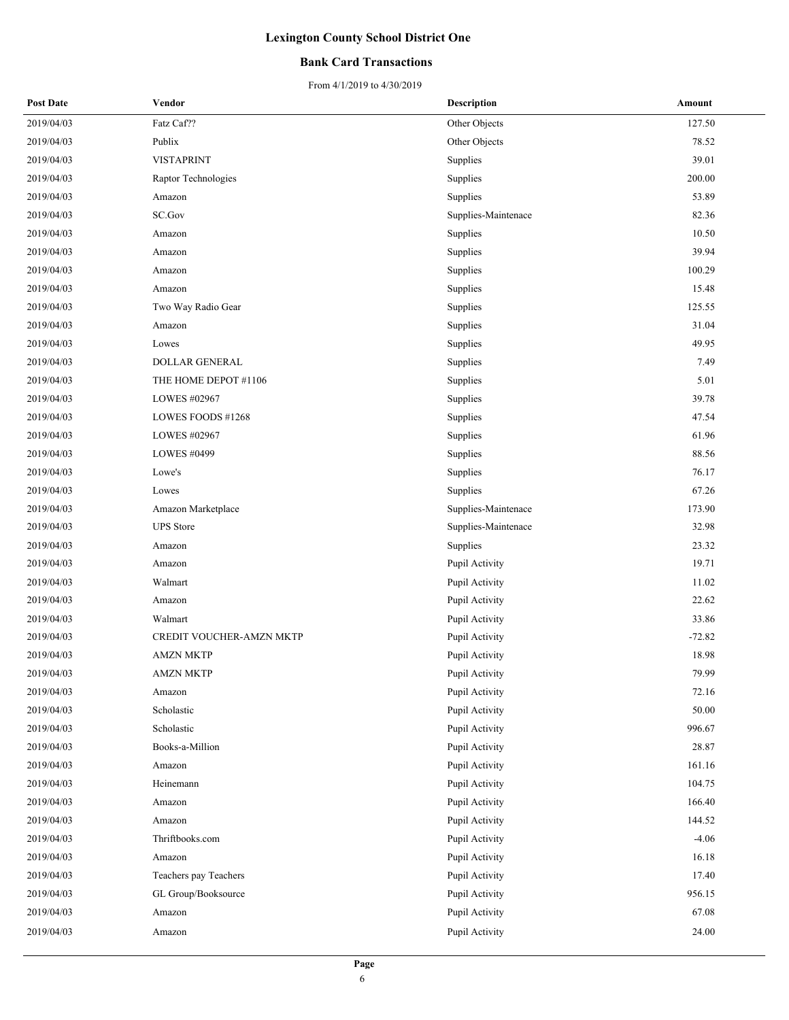### **Bank Card Transactions**

| <b>Post Date</b> | Vendor                   | <b>Description</b>  | Amount   |
|------------------|--------------------------|---------------------|----------|
| 2019/04/03       | Fatz Caf??               | Other Objects       | 127.50   |
| 2019/04/03       | Publix                   | Other Objects       | 78.52    |
| 2019/04/03       | <b>VISTAPRINT</b>        | Supplies            | 39.01    |
| 2019/04/03       | Raptor Technologies      | Supplies            | 200.00   |
| 2019/04/03       | Amazon                   | Supplies            | 53.89    |
| 2019/04/03       | SC.Gov                   | Supplies-Maintenace | 82.36    |
| 2019/04/03       | Amazon                   | Supplies            | 10.50    |
| 2019/04/03       | Amazon                   | Supplies            | 39.94    |
| 2019/04/03       | Amazon                   | Supplies            | 100.29   |
| 2019/04/03       | Amazon                   | Supplies            | 15.48    |
| 2019/04/03       | Two Way Radio Gear       | Supplies            | 125.55   |
| 2019/04/03       | Amazon                   | Supplies            | 31.04    |
| 2019/04/03       | Lowes                    | Supplies            | 49.95    |
| 2019/04/03       | DOLLAR GENERAL           | Supplies            | 7.49     |
| 2019/04/03       | THE HOME DEPOT #1106     | Supplies            | 5.01     |
| 2019/04/03       | LOWES #02967             | Supplies            | 39.78    |
| 2019/04/03       | LOWES FOODS #1268        | Supplies            | 47.54    |
| 2019/04/03       | LOWES #02967             | Supplies            | 61.96    |
| 2019/04/03       | LOWES #0499              | Supplies            | 88.56    |
| 2019/04/03       | Lowe's                   | Supplies            | 76.17    |
| 2019/04/03       | Lowes                    | Supplies            | 67.26    |
| 2019/04/03       | Amazon Marketplace       | Supplies-Maintenace | 173.90   |
| 2019/04/03       | <b>UPS</b> Store         | Supplies-Maintenace | 32.98    |
| 2019/04/03       | Amazon                   | Supplies            | 23.32    |
| 2019/04/03       | Amazon                   | Pupil Activity      | 19.71    |
| 2019/04/03       | Walmart                  | Pupil Activity      | 11.02    |
| 2019/04/03       | Amazon                   | Pupil Activity      | 22.62    |
| 2019/04/03       | Walmart                  | Pupil Activity      | 33.86    |
| 2019/04/03       | CREDIT VOUCHER-AMZN MKTP | Pupil Activity      | $-72.82$ |
| 2019/04/03       | <b>AMZN MKTP</b>         | Pupil Activity      | 18.98    |
| 2019/04/03       | <b>AMZN MKTP</b>         | Pupil Activity      | 79.99    |
| 2019/04/03       | Amazon                   | Pupil Activity      | 72.16    |
| 2019/04/03       | Scholastic               | Pupil Activity      | 50.00    |
| 2019/04/03       | Scholastic               | Pupil Activity      | 996.67   |
| 2019/04/03       | Books-a-Million          | Pupil Activity      | 28.87    |
| 2019/04/03       | Amazon                   | Pupil Activity      | 161.16   |
| 2019/04/03       | Heinemann                | Pupil Activity      | 104.75   |
| 2019/04/03       | Amazon                   | Pupil Activity      | 166.40   |
| 2019/04/03       | Amazon                   | Pupil Activity      | 144.52   |
| 2019/04/03       | Thriftbooks.com          | Pupil Activity      | $-4.06$  |
| 2019/04/03       | Amazon                   | Pupil Activity      | 16.18    |
| 2019/04/03       | Teachers pay Teachers    | Pupil Activity      | 17.40    |
| 2019/04/03       | GL Group/Booksource      | Pupil Activity      | 956.15   |
| 2019/04/03       | Amazon                   | Pupil Activity      | 67.08    |
| 2019/04/03       | Amazon                   | Pupil Activity      | 24.00    |
|                  |                          |                     |          |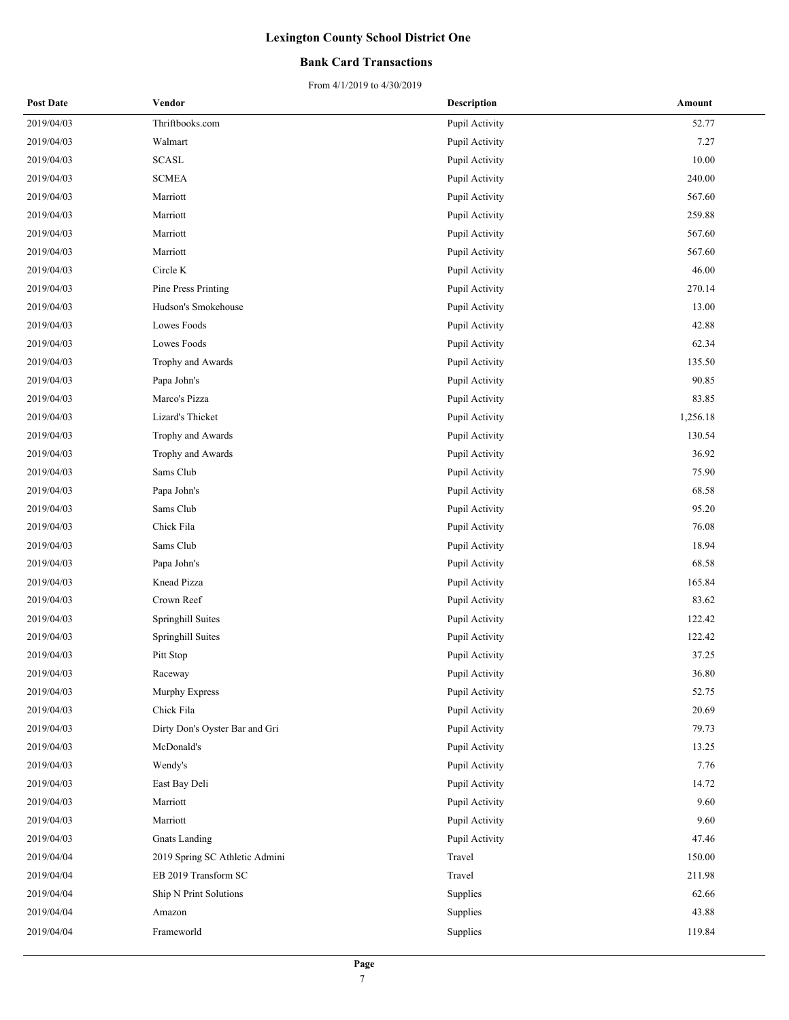### **Bank Card Transactions**

| <b>Post Date</b> | Vendor                         | <b>Description</b> | Amount   |
|------------------|--------------------------------|--------------------|----------|
| 2019/04/03       | Thriftbooks.com                | Pupil Activity     | 52.77    |
| 2019/04/03       | Walmart                        | Pupil Activity     | 7.27     |
| 2019/04/03       | <b>SCASL</b>                   | Pupil Activity     | 10.00    |
| 2019/04/03       | $\operatorname{SCMEA}$         | Pupil Activity     | 240.00   |
| 2019/04/03       | Marriott                       | Pupil Activity     | 567.60   |
| 2019/04/03       | Marriott                       | Pupil Activity     | 259.88   |
| 2019/04/03       | Marriott                       | Pupil Activity     | 567.60   |
| 2019/04/03       | Marriott                       | Pupil Activity     | 567.60   |
| 2019/04/03       | Circle K                       | Pupil Activity     | 46.00    |
| 2019/04/03       | Pine Press Printing            | Pupil Activity     | 270.14   |
| 2019/04/03       | Hudson's Smokehouse            | Pupil Activity     | 13.00    |
| 2019/04/03       | Lowes Foods                    | Pupil Activity     | 42.88    |
| 2019/04/03       | Lowes Foods                    | Pupil Activity     | 62.34    |
| 2019/04/03       | Trophy and Awards              | Pupil Activity     | 135.50   |
| 2019/04/03       | Papa John's                    | Pupil Activity     | 90.85    |
| 2019/04/03       | Marco's Pizza                  | Pupil Activity     | 83.85    |
| 2019/04/03       | Lizard's Thicket               | Pupil Activity     | 1,256.18 |
| 2019/04/03       | Trophy and Awards              | Pupil Activity     | 130.54   |
| 2019/04/03       | Trophy and Awards              | Pupil Activity     | 36.92    |
| 2019/04/03       | Sams Club                      | Pupil Activity     | 75.90    |
| 2019/04/03       | Papa John's                    | Pupil Activity     | 68.58    |
| 2019/04/03       | Sams Club                      | Pupil Activity     | 95.20    |
| 2019/04/03       | Chick Fila                     | Pupil Activity     | 76.08    |
| 2019/04/03       | Sams Club                      | Pupil Activity     | 18.94    |
| 2019/04/03       | Papa John's                    | Pupil Activity     | 68.58    |
| 2019/04/03       | Knead Pizza                    | Pupil Activity     | 165.84   |
| 2019/04/03       | Crown Reef                     | Pupil Activity     | 83.62    |
| 2019/04/03       | Springhill Suites              | Pupil Activity     | 122.42   |
| 2019/04/03       | Springhill Suites              | Pupil Activity     | 122.42   |
| 2019/04/03       | Pitt Stop                      | Pupil Activity     | 37.25    |
| 2019/04/03       | Raceway                        | Pupil Activity     | 36.80    |
| 2019/04/03       | Murphy Express                 | Pupil Activity     | 52.75    |
| 2019/04/03       | Chick Fila                     | Pupil Activity     | 20.69    |
| 2019/04/03       | Dirty Don's Oyster Bar and Gri | Pupil Activity     | 79.73    |
| 2019/04/03       | McDonald's                     | Pupil Activity     | 13.25    |
| 2019/04/03       | Wendy's                        | Pupil Activity     | 7.76     |
| 2019/04/03       | East Bay Deli                  | Pupil Activity     | 14.72    |
| 2019/04/03       | Marriott                       | Pupil Activity     | 9.60     |
| 2019/04/03       | Marriott                       | Pupil Activity     | 9.60     |
| 2019/04/03       | <b>Gnats</b> Landing           | Pupil Activity     | 47.46    |
| 2019/04/04       | 2019 Spring SC Athletic Admini | Travel             | 150.00   |
| 2019/04/04       | EB 2019 Transform SC           | Travel             | 211.98   |
| 2019/04/04       | Ship N Print Solutions         | Supplies           | 62.66    |
| 2019/04/04       | Amazon                         | Supplies           | 43.88    |
| 2019/04/04       | Frameworld                     | Supplies           | 119.84   |
|                  |                                |                    |          |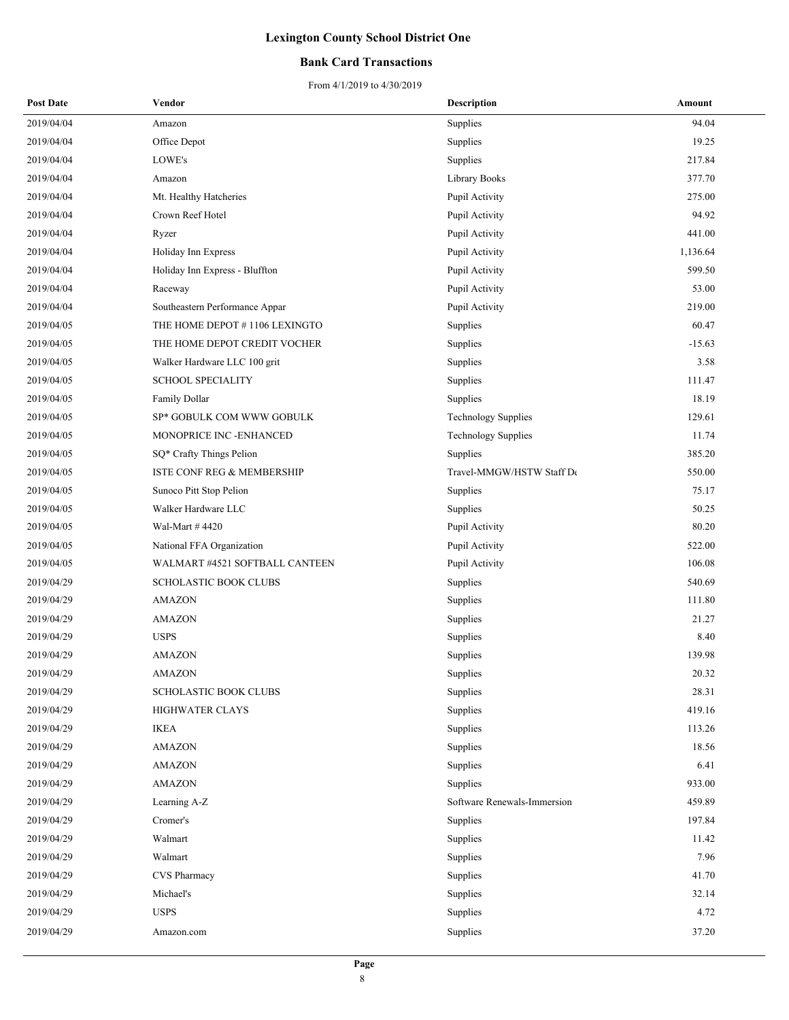### **Bank Card Transactions**

| <b>Post Date</b> | Vendor                                | <b>Description</b>          | Amount   |
|------------------|---------------------------------------|-----------------------------|----------|
| 2019/04/04       | Amazon                                | Supplies                    | 94.04    |
| 2019/04/04       | Office Depot                          | Supplies                    | 19.25    |
| 2019/04/04       | LOWE's                                | Supplies                    | 217.84   |
| 2019/04/04       | Amazon                                | Library Books               | 377.70   |
| 2019/04/04       | Mt. Healthy Hatcheries                | Pupil Activity              | 275.00   |
| 2019/04/04       | Crown Reef Hotel                      | Pupil Activity              | 94.92    |
| 2019/04/04       | Ryzer                                 | Pupil Activity              | 441.00   |
| 2019/04/04       | Holiday Inn Express                   | Pupil Activity              | 1,136.64 |
| 2019/04/04       | Holiday Inn Express - Bluffton        | Pupil Activity              | 599.50   |
| 2019/04/04       | Raceway                               | Pupil Activity              | 53.00    |
| 2019/04/04       | Southeastern Performance Appar        | Pupil Activity              | 219.00   |
| 2019/04/05       | THE HOME DEPOT #1106 LEXINGTO         | Supplies                    | 60.47    |
| 2019/04/05       | THE HOME DEPOT CREDIT VOCHER          | Supplies                    | $-15.63$ |
| 2019/04/05       | Walker Hardware LLC 100 grit          | Supplies                    | 3.58     |
| 2019/04/05       | <b>SCHOOL SPECIALITY</b>              | Supplies                    | 111.47   |
| 2019/04/05       | Family Dollar                         | Supplies                    | 18.19    |
| 2019/04/05       | SP* GOBULK COM WWW GOBULK             | <b>Technology Supplies</b>  | 129.61   |
| 2019/04/05       | MONOPRICE INC -ENHANCED               | <b>Technology Supplies</b>  | 11.74    |
| 2019/04/05       | SQ* Crafty Things Pelion              | Supplies                    | 385.20   |
| 2019/04/05       | <b>ISTE CONF REG &amp; MEMBERSHIP</b> | Travel-MMGW/HSTW Staff De   | 550.00   |
| 2019/04/05       | Sunoco Pitt Stop Pelion               | Supplies                    | 75.17    |
| 2019/04/05       | Walker Hardware LLC                   | Supplies                    | 50.25    |
| 2019/04/05       | Wal-Mart #4420                        | Pupil Activity              | 80.20    |
| 2019/04/05       | National FFA Organization             | Pupil Activity              | 522.00   |
| 2019/04/05       | WALMART #4521 SOFTBALL CANTEEN        | Pupil Activity              | 106.08   |
| 2019/04/29       | <b>SCHOLASTIC BOOK CLUBS</b>          | Supplies                    | 540.69   |
| 2019/04/29       | <b>AMAZON</b>                         | Supplies                    | 111.80   |
| 2019/04/29       | <b>AMAZON</b>                         | Supplies                    | 21.27    |
| 2019/04/29       | <b>USPS</b>                           | Supplies                    | 8.40     |
| 2019/04/29       | <b>AMAZON</b>                         | Supplies                    | 139.98   |
| 2019/04/29       | <b>AMAZON</b>                         | Supplies                    | 20.32    |
| 2019/04/29       | SCHOLASTIC BOOK CLUBS                 | Supplies                    | 28.31    |
| 2019/04/29       | <b>HIGHWATER CLAYS</b>                | Supplies                    | 419.16   |
| 2019/04/29       | <b>IKEA</b>                           | Supplies                    | 113.26   |
| 2019/04/29       | <b>AMAZON</b>                         | Supplies                    | 18.56    |
| 2019/04/29       | <b>AMAZON</b>                         | Supplies                    | 6.41     |
| 2019/04/29       | <b>AMAZON</b>                         | Supplies                    | 933.00   |
| 2019/04/29       | Learning A-Z                          | Software Renewals-Immersion | 459.89   |
| 2019/04/29       | Cromer's                              | Supplies                    | 197.84   |
| 2019/04/29       | Walmart                               | Supplies                    | 11.42    |
| 2019/04/29       | Walmart                               | Supplies                    | 7.96     |
| 2019/04/29       | CVS Pharmacy                          | Supplies                    | 41.70    |
| 2019/04/29       | Michael's                             | Supplies                    | 32.14    |
| 2019/04/29       | <b>USPS</b>                           | Supplies                    | 4.72     |
| 2019/04/29       | Amazon.com                            | Supplies                    | 37.20    |
|                  |                                       |                             |          |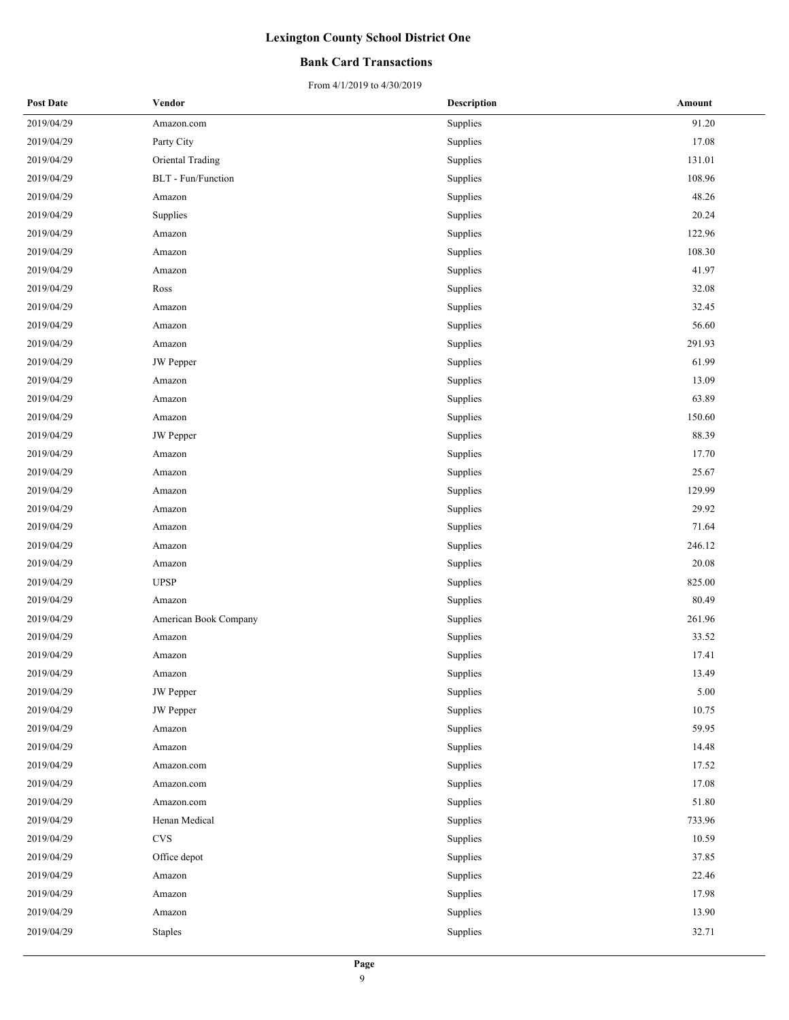### **Bank Card Transactions**

| <b>Post Date</b> | Vendor                    | <b>Description</b> | Amount |
|------------------|---------------------------|--------------------|--------|
| 2019/04/29       | Amazon.com                | Supplies           | 91.20  |
| 2019/04/29       | Party City                | Supplies           | 17.08  |
| 2019/04/29       | Oriental Trading          | Supplies           | 131.01 |
| 2019/04/29       | <b>BLT</b> - Fun/Function | Supplies           | 108.96 |
| 2019/04/29       | Amazon                    | Supplies           | 48.26  |
| 2019/04/29       | Supplies                  | Supplies           | 20.24  |
| 2019/04/29       | Amazon                    | Supplies           | 122.96 |
| 2019/04/29       | Amazon                    | Supplies           | 108.30 |
| 2019/04/29       | Amazon                    | Supplies           | 41.97  |
| 2019/04/29       | Ross                      | Supplies           | 32.08  |
| 2019/04/29       | Amazon                    | Supplies           | 32.45  |
| 2019/04/29       | Amazon                    | Supplies           | 56.60  |
| 2019/04/29       | Amazon                    | Supplies           | 291.93 |
| 2019/04/29       | JW Pepper                 | Supplies           | 61.99  |
| 2019/04/29       | Amazon                    | Supplies           | 13.09  |
| 2019/04/29       | Amazon                    | Supplies           | 63.89  |
| 2019/04/29       | Amazon                    | Supplies           | 150.60 |
| 2019/04/29       | <b>JW</b> Pepper          | Supplies           | 88.39  |
| 2019/04/29       | Amazon                    | Supplies           | 17.70  |
| 2019/04/29       | Amazon                    | Supplies           | 25.67  |
| 2019/04/29       | Amazon                    | Supplies           | 129.99 |
| 2019/04/29       | Amazon                    | Supplies           | 29.92  |
| 2019/04/29       | Amazon                    | Supplies           | 71.64  |
| 2019/04/29       | Amazon                    | Supplies           | 246.12 |
| 2019/04/29       | Amazon                    | Supplies           | 20.08  |
| 2019/04/29       | <b>UPSP</b>               | Supplies           | 825.00 |
| 2019/04/29       | Amazon                    | Supplies           | 80.49  |
| 2019/04/29       | American Book Company     | Supplies           | 261.96 |
| 2019/04/29       | Amazon                    | Supplies           | 33.52  |
| 2019/04/29       | Amazon                    | Supplies           | 17.41  |
| 2019/04/29       | Amazon                    | Supplies           | 13.49  |
| 2019/04/29       | JW Pepper                 | Supplies           | 5.00   |
| 2019/04/29       | <b>JW</b> Pepper          | Supplies           | 10.75  |
| 2019/04/29       | Amazon                    | Supplies           | 59.95  |
| 2019/04/29       | Amazon                    | Supplies           | 14.48  |
| 2019/04/29       | Amazon.com                | Supplies           | 17.52  |
| 2019/04/29       | Amazon.com                | Supplies           | 17.08  |
| 2019/04/29       | Amazon.com                | Supplies           | 51.80  |
| 2019/04/29       | Henan Medical             | Supplies           | 733.96 |
| 2019/04/29       | <b>CVS</b>                | Supplies           | 10.59  |
| 2019/04/29       | Office depot              | Supplies           | 37.85  |
| 2019/04/29       | Amazon                    | Supplies           | 22.46  |
| 2019/04/29       | Amazon                    | Supplies           | 17.98  |
| 2019/04/29       | Amazon                    | Supplies           | 13.90  |
| 2019/04/29       | <b>Staples</b>            | Supplies           | 32.71  |
|                  |                           |                    |        |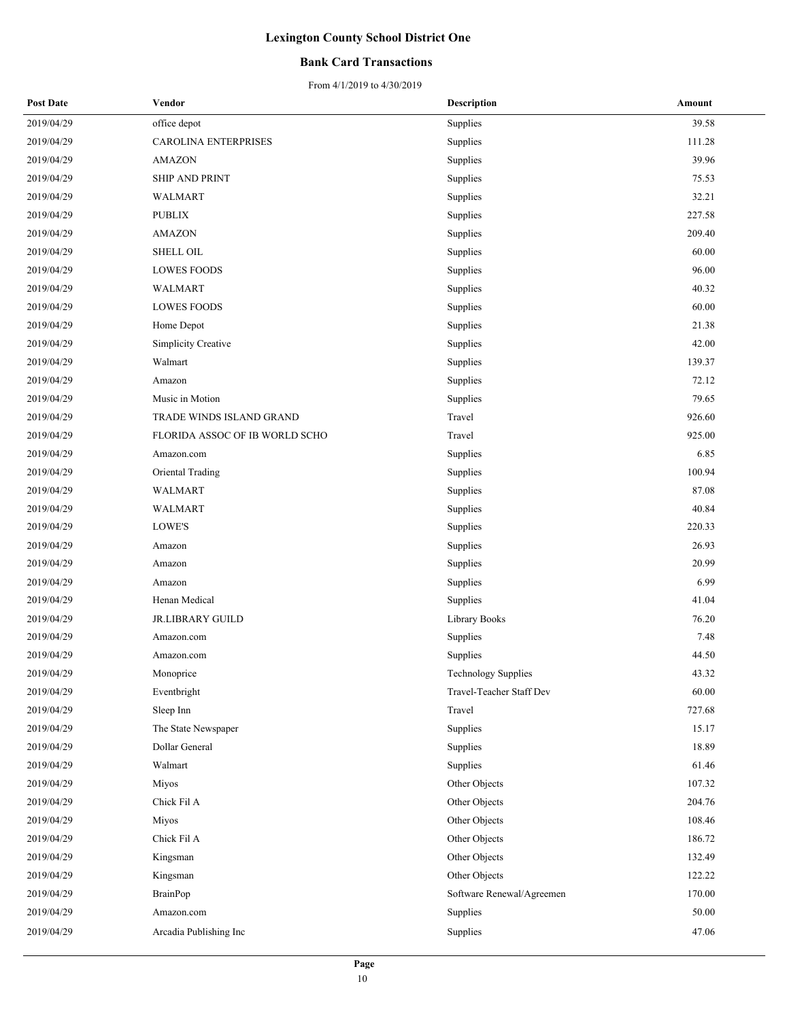### **Bank Card Transactions**

| <b>Post Date</b> | Vendor                         | <b>Description</b>         | Amount |
|------------------|--------------------------------|----------------------------|--------|
| 2019/04/29       | office depot                   | Supplies                   | 39.58  |
| 2019/04/29       | CAROLINA ENTERPRISES           | Supplies                   | 111.28 |
| 2019/04/29       | <b>AMAZON</b>                  | Supplies                   | 39.96  |
| 2019/04/29       | <b>SHIP AND PRINT</b>          | Supplies                   | 75.53  |
| 2019/04/29       | WALMART                        | Supplies                   | 32.21  |
| 2019/04/29       | <b>PUBLIX</b>                  | Supplies                   | 227.58 |
| 2019/04/29       | <b>AMAZON</b>                  | Supplies                   | 209.40 |
| 2019/04/29       | <b>SHELL OIL</b>               | Supplies                   | 60.00  |
| 2019/04/29       | <b>LOWES FOODS</b>             | Supplies                   | 96.00  |
| 2019/04/29       | WALMART                        | Supplies                   | 40.32  |
| 2019/04/29       | <b>LOWES FOODS</b>             | Supplies                   | 60.00  |
| 2019/04/29       | Home Depot                     | Supplies                   | 21.38  |
| 2019/04/29       | Simplicity Creative            | Supplies                   | 42.00  |
| 2019/04/29       | Walmart                        | Supplies                   | 139.37 |
| 2019/04/29       | Amazon                         | Supplies                   | 72.12  |
| 2019/04/29       | Music in Motion                | Supplies                   | 79.65  |
| 2019/04/29       | TRADE WINDS ISLAND GRAND       | Travel                     | 926.60 |
| 2019/04/29       | FLORIDA ASSOC OF IB WORLD SCHO | Travel                     | 925.00 |
| 2019/04/29       | Amazon.com                     | Supplies                   | 6.85   |
| 2019/04/29       | Oriental Trading               | Supplies                   | 100.94 |
| 2019/04/29       | <b>WALMART</b>                 | Supplies                   | 87.08  |
| 2019/04/29       | WALMART                        | Supplies                   | 40.84  |
| 2019/04/29       | LOWE'S                         | Supplies                   | 220.33 |
| 2019/04/29       | Amazon                         | Supplies                   | 26.93  |
| 2019/04/29       | Amazon                         | Supplies                   | 20.99  |
| 2019/04/29       | Amazon                         | Supplies                   | 6.99   |
| 2019/04/29       | Henan Medical                  | Supplies                   | 41.04  |
| 2019/04/29       | <b>JR.LIBRARY GUILD</b>        | Library Books              | 76.20  |
| 2019/04/29       | Amazon.com                     | Supplies                   | 7.48   |
| 2019/04/29       | Amazon.com                     | Supplies                   | 44.50  |
| 2019/04/29       | Monoprice                      | <b>Technology Supplies</b> | 43.32  |
| 2019/04/29       | Eventbright                    | Travel-Teacher Staff Dev   | 60.00  |
| 2019/04/29       | Sleep Inn                      | Travel                     | 727.68 |
| 2019/04/29       | The State Newspaper            | Supplies                   | 15.17  |
| 2019/04/29       | Dollar General                 | Supplies                   | 18.89  |
| 2019/04/29       | Walmart                        | Supplies                   | 61.46  |
| 2019/04/29       | Miyos                          | Other Objects              | 107.32 |
| 2019/04/29       | Chick Fil A                    | Other Objects              | 204.76 |
| 2019/04/29       | Miyos                          | Other Objects              | 108.46 |
| 2019/04/29       | Chick Fil A                    | Other Objects              | 186.72 |
| 2019/04/29       | Kingsman                       | Other Objects              | 132.49 |
| 2019/04/29       | Kingsman                       | Other Objects              | 122.22 |
| 2019/04/29       | <b>BrainPop</b>                | Software Renewal/Agreemen  | 170.00 |
| 2019/04/29       | Amazon.com                     | Supplies                   | 50.00  |
| 2019/04/29       | Arcadia Publishing Inc         | Supplies                   | 47.06  |
|                  |                                |                            |        |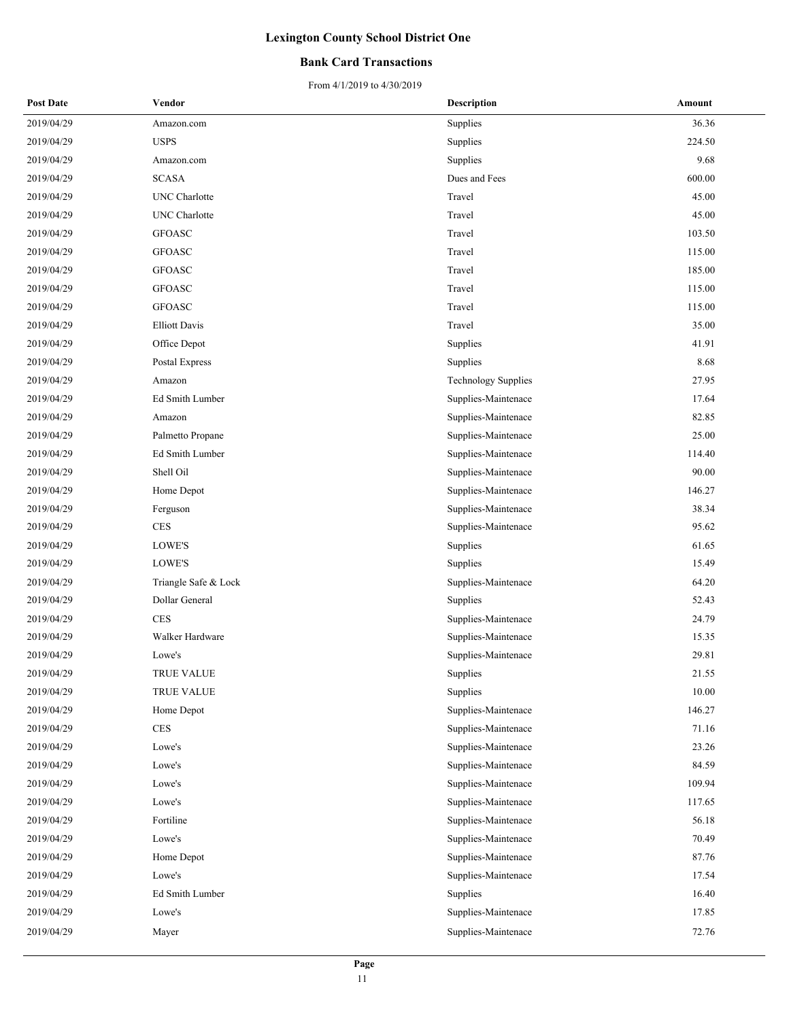### **Bank Card Transactions**

| <b>Post Date</b> | Vendor               | <b>Description</b>         | Amount |
|------------------|----------------------|----------------------------|--------|
| 2019/04/29       | Amazon.com           | Supplies                   | 36.36  |
| 2019/04/29       | <b>USPS</b>          | Supplies                   | 224.50 |
| 2019/04/29       | Amazon.com           | Supplies                   | 9.68   |
| 2019/04/29       | <b>SCASA</b>         | Dues and Fees              | 600.00 |
| 2019/04/29       | <b>UNC</b> Charlotte | Travel                     | 45.00  |
| 2019/04/29       | <b>UNC</b> Charlotte | Travel                     | 45.00  |
| 2019/04/29       | <b>GFOASC</b>        | Travel                     | 103.50 |
| 2019/04/29       | <b>GFOASC</b>        | Travel                     | 115.00 |
| 2019/04/29       | <b>GFOASC</b>        | Travel                     | 185.00 |
| 2019/04/29       | <b>GFOASC</b>        | Travel                     | 115.00 |
| 2019/04/29       | <b>GFOASC</b>        | Travel                     | 115.00 |
| 2019/04/29       | <b>Elliott Davis</b> | Travel                     | 35.00  |
| 2019/04/29       | Office Depot         | Supplies                   | 41.91  |
| 2019/04/29       | Postal Express       | Supplies                   | 8.68   |
| 2019/04/29       | Amazon               | <b>Technology Supplies</b> | 27.95  |
| 2019/04/29       | Ed Smith Lumber      | Supplies-Maintenace        | 17.64  |
| 2019/04/29       | Amazon               | Supplies-Maintenace        | 82.85  |
| 2019/04/29       | Palmetto Propane     | Supplies-Maintenace        | 25.00  |
| 2019/04/29       | Ed Smith Lumber      | Supplies-Maintenace        | 114.40 |
| 2019/04/29       | Shell Oil            | Supplies-Maintenace        | 90.00  |
| 2019/04/29       | Home Depot           | Supplies-Maintenace        | 146.27 |
| 2019/04/29       | Ferguson             | Supplies-Maintenace        | 38.34  |
| 2019/04/29       | <b>CES</b>           | Supplies-Maintenace        | 95.62  |
| 2019/04/29       | LOWE'S               | Supplies                   | 61.65  |
| 2019/04/29       | LOWE'S               | Supplies                   | 15.49  |
| 2019/04/29       | Triangle Safe & Lock | Supplies-Maintenace        | 64.20  |
| 2019/04/29       | Dollar General       | Supplies                   | 52.43  |
| 2019/04/29       | <b>CES</b>           | Supplies-Maintenace        | 24.79  |
| 2019/04/29       | Walker Hardware      | Supplies-Maintenace        | 15.35  |
| 2019/04/29       | Lowe's               | Supplies-Maintenace        | 29.81  |
| 2019/04/29       | TRUE VALUE           | Supplies                   | 21.55  |
| 2019/04/29       | TRUE VALUE           | Supplies                   | 10.00  |
| 2019/04/29       | Home Depot           | Supplies-Maintenace        | 146.27 |
| 2019/04/29       | $\rm{CES}$           | Supplies-Maintenace        | 71.16  |
| 2019/04/29       | Lowe's               | Supplies-Maintenace        | 23.26  |
| 2019/04/29       | Lowe's               | Supplies-Maintenace        | 84.59  |
| 2019/04/29       | Lowe's               | Supplies-Maintenace        | 109.94 |
| 2019/04/29       | Lowe's               | Supplies-Maintenace        | 117.65 |
| 2019/04/29       | Fortiline            | Supplies-Maintenace        | 56.18  |
| 2019/04/29       | Lowe's               | Supplies-Maintenace        | 70.49  |
| 2019/04/29       | Home Depot           | Supplies-Maintenace        | 87.76  |
| 2019/04/29       | Lowe's               | Supplies-Maintenace        | 17.54  |
| 2019/04/29       | Ed Smith Lumber      | Supplies                   | 16.40  |
| 2019/04/29       | Lowe's               | Supplies-Maintenace        | 17.85  |
| 2019/04/29       | Mayer                | Supplies-Maintenace        | 72.76  |
|                  |                      |                            |        |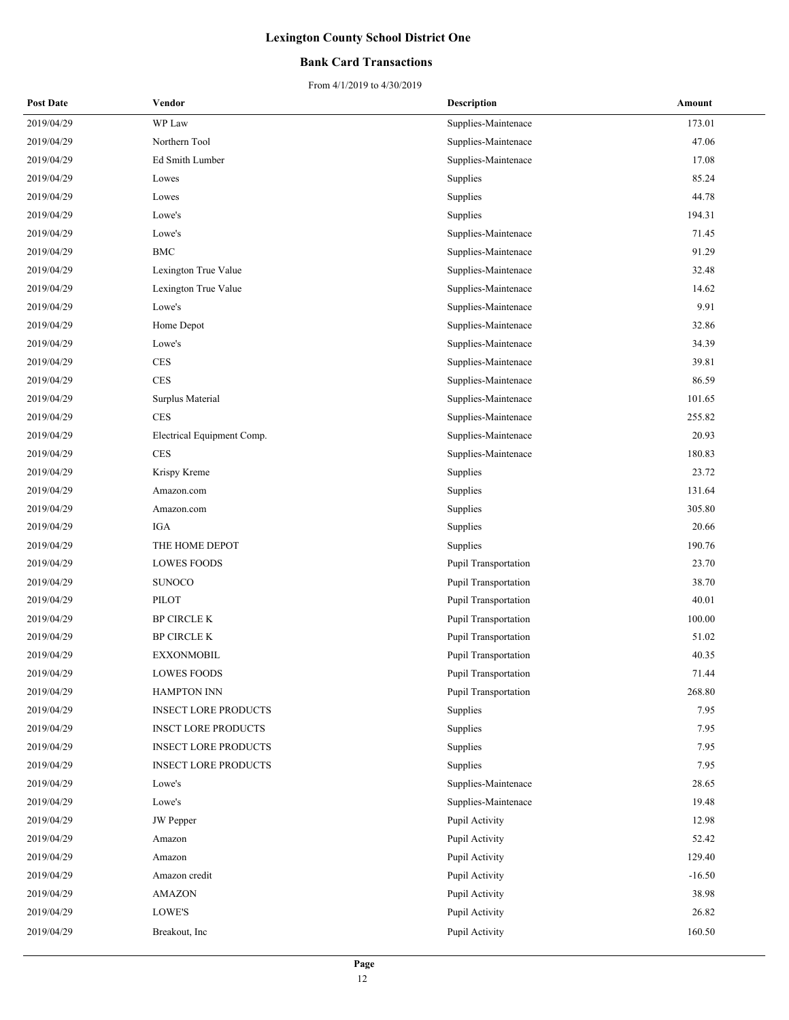### **Bank Card Transactions**

| <b>Post Date</b> | Vendor                      | <b>Description</b>          | Amount   |
|------------------|-----------------------------|-----------------------------|----------|
| 2019/04/29       | WP Law                      | Supplies-Maintenace         | 173.01   |
| 2019/04/29       | Northern Tool               | Supplies-Maintenace         | 47.06    |
| 2019/04/29       | Ed Smith Lumber             | Supplies-Maintenace         | 17.08    |
| 2019/04/29       | Lowes                       | Supplies                    | 85.24    |
| 2019/04/29       | Lowes                       | Supplies                    | 44.78    |
| 2019/04/29       | Lowe's                      | Supplies                    | 194.31   |
| 2019/04/29       | Lowe's                      | Supplies-Maintenace         | 71.45    |
| 2019/04/29       | <b>BMC</b>                  | Supplies-Maintenace         | 91.29    |
| 2019/04/29       | Lexington True Value        | Supplies-Maintenace         | 32.48    |
| 2019/04/29       | Lexington True Value        | Supplies-Maintenace         | 14.62    |
| 2019/04/29       | Lowe's                      | Supplies-Maintenace         | 9.91     |
| 2019/04/29       | Home Depot                  | Supplies-Maintenace         | 32.86    |
| 2019/04/29       | Lowe's                      | Supplies-Maintenace         | 34.39    |
| 2019/04/29       | <b>CES</b>                  | Supplies-Maintenace         | 39.81    |
| 2019/04/29       | <b>CES</b>                  | Supplies-Maintenace         | 86.59    |
| 2019/04/29       | Surplus Material            | Supplies-Maintenace         | 101.65   |
| 2019/04/29       | <b>CES</b>                  | Supplies-Maintenace         | 255.82   |
| 2019/04/29       | Electrical Equipment Comp.  | Supplies-Maintenace         | 20.93    |
| 2019/04/29       | <b>CES</b>                  | Supplies-Maintenace         | 180.83   |
| 2019/04/29       | Krispy Kreme                | Supplies                    | 23.72    |
| 2019/04/29       | Amazon.com                  | Supplies                    | 131.64   |
| 2019/04/29       | Amazon.com                  | Supplies                    | 305.80   |
| 2019/04/29       | <b>IGA</b>                  | Supplies                    | 20.66    |
| 2019/04/29       | THE HOME DEPOT              | Supplies                    | 190.76   |
| 2019/04/29       | <b>LOWES FOODS</b>          | Pupil Transportation        | 23.70    |
| 2019/04/29       | <b>SUNOCO</b>               | Pupil Transportation        | 38.70    |
| 2019/04/29       | PILOT                       | Pupil Transportation        | 40.01    |
| 2019/04/29       | <b>BP CIRCLE K</b>          | Pupil Transportation        | 100.00   |
| 2019/04/29       | <b>BP CIRCLE K</b>          | Pupil Transportation        | 51.02    |
| 2019/04/29       | <b>EXXONMOBIL</b>           | <b>Pupil Transportation</b> | 40.35    |
| 2019/04/29       | <b>LOWES FOODS</b>          | Pupil Transportation        | 71.44    |
| 2019/04/29       | <b>HAMPTON INN</b>          | Pupil Transportation        | 268.80   |
| 2019/04/29       | <b>INSECT LORE PRODUCTS</b> | Supplies                    | 7.95     |
| 2019/04/29       | <b>INSCT LORE PRODUCTS</b>  | Supplies                    | 7.95     |
| 2019/04/29       | <b>INSECT LORE PRODUCTS</b> | Supplies                    | 7.95     |
| 2019/04/29       | <b>INSECT LORE PRODUCTS</b> | Supplies                    | 7.95     |
| 2019/04/29       | Lowe's                      | Supplies-Maintenace         | 28.65    |
| 2019/04/29       | Lowe's                      | Supplies-Maintenace         | 19.48    |
| 2019/04/29       | <b>JW</b> Pepper            | Pupil Activity              | 12.98    |
| 2019/04/29       | Amazon                      | Pupil Activity              | 52.42    |
| 2019/04/29       | Amazon                      | Pupil Activity              | 129.40   |
| 2019/04/29       | Amazon credit               | Pupil Activity              | $-16.50$ |
| 2019/04/29       | <b>AMAZON</b>               | Pupil Activity              | 38.98    |
| 2019/04/29       | LOWE'S                      | Pupil Activity              | 26.82    |
| 2019/04/29       | Breakout, Inc               | Pupil Activity              | 160.50   |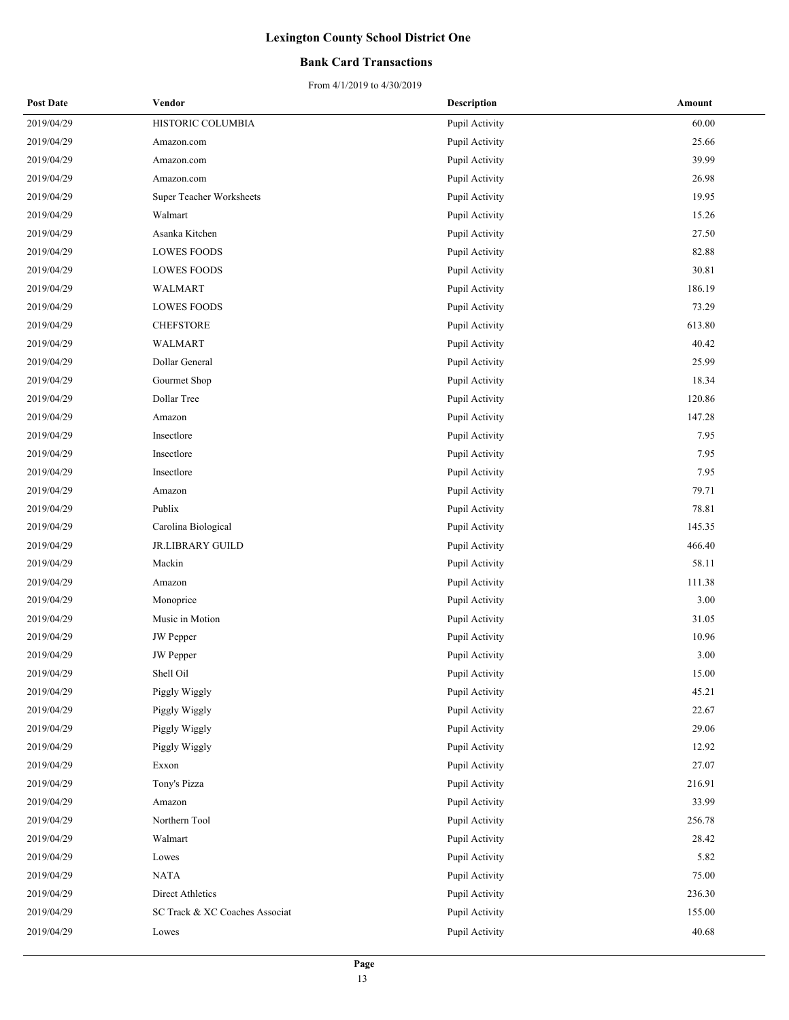### **Bank Card Transactions**

| <b>Post Date</b> | Vendor                         | <b>Description</b> | Amount |
|------------------|--------------------------------|--------------------|--------|
| 2019/04/29       | HISTORIC COLUMBIA              | Pupil Activity     | 60.00  |
| 2019/04/29       | Amazon.com                     | Pupil Activity     | 25.66  |
| 2019/04/29       | Amazon.com                     | Pupil Activity     | 39.99  |
| 2019/04/29       | Amazon.com                     | Pupil Activity     | 26.98  |
| 2019/04/29       | Super Teacher Worksheets       | Pupil Activity     | 19.95  |
| 2019/04/29       | Walmart                        | Pupil Activity     | 15.26  |
| 2019/04/29       | Asanka Kitchen                 | Pupil Activity     | 27.50  |
| 2019/04/29       | LOWES FOODS                    | Pupil Activity     | 82.88  |
| 2019/04/29       | <b>LOWES FOODS</b>             | Pupil Activity     | 30.81  |
| 2019/04/29       | WALMART                        | Pupil Activity     | 186.19 |
| 2019/04/29       | <b>LOWES FOODS</b>             | Pupil Activity     | 73.29  |
| 2019/04/29       | <b>CHEFSTORE</b>               | Pupil Activity     | 613.80 |
| 2019/04/29       | WALMART                        | Pupil Activity     | 40.42  |
| 2019/04/29       | Dollar General                 | Pupil Activity     | 25.99  |
| 2019/04/29       | Gourmet Shop                   | Pupil Activity     | 18.34  |
| 2019/04/29       | Dollar Tree                    | Pupil Activity     | 120.86 |
| 2019/04/29       | Amazon                         | Pupil Activity     | 147.28 |
| 2019/04/29       | Insectlore                     | Pupil Activity     | 7.95   |
| 2019/04/29       | Insectlore                     | Pupil Activity     | 7.95   |
| 2019/04/29       | Insectlore                     | Pupil Activity     | 7.95   |
| 2019/04/29       | Amazon                         | Pupil Activity     | 79.71  |
| 2019/04/29       | Publix                         | Pupil Activity     | 78.81  |
| 2019/04/29       | Carolina Biological            | Pupil Activity     | 145.35 |
| 2019/04/29       | <b>JR.LIBRARY GUILD</b>        | Pupil Activity     | 466.40 |
| 2019/04/29       | Mackin                         | Pupil Activity     | 58.11  |
| 2019/04/29       | Amazon                         | Pupil Activity     | 111.38 |
| 2019/04/29       | Monoprice                      | Pupil Activity     | 3.00   |
| 2019/04/29       | Music in Motion                | Pupil Activity     | 31.05  |
| 2019/04/29       | <b>JW</b> Pepper               | Pupil Activity     | 10.96  |
| 2019/04/29       | <b>JW</b> Pepper               | Pupil Activity     | 3.00   |
| 2019/04/29       | Shell Oil                      | Pupil Activity     | 15.00  |
| 2019/04/29       | Piggly Wiggly                  | Pupil Activity     | 45.21  |
| 2019/04/29       | Piggly Wiggly                  | Pupil Activity     | 22.67  |
| 2019/04/29       | Piggly Wiggly                  | Pupil Activity     | 29.06  |
| 2019/04/29       | Piggly Wiggly                  | Pupil Activity     | 12.92  |
| 2019/04/29       | Exxon                          | Pupil Activity     | 27.07  |
| 2019/04/29       | Tony's Pizza                   | Pupil Activity     | 216.91 |
| 2019/04/29       | Amazon                         | Pupil Activity     | 33.99  |
| 2019/04/29       | Northern Tool                  | Pupil Activity     | 256.78 |
| 2019/04/29       | Walmart                        | Pupil Activity     | 28.42  |
| 2019/04/29       | Lowes                          | Pupil Activity     | 5.82   |
| 2019/04/29       | <b>NATA</b>                    | Pupil Activity     | 75.00  |
| 2019/04/29       | Direct Athletics               | Pupil Activity     | 236.30 |
| 2019/04/29       | SC Track & XC Coaches Associat | Pupil Activity     | 155.00 |
| 2019/04/29       | Lowes                          | Pupil Activity     | 40.68  |
|                  |                                |                    |        |